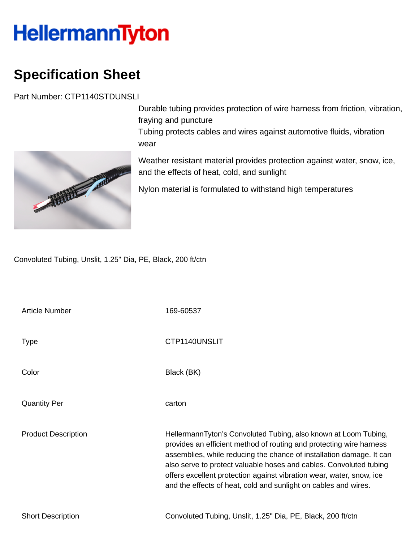## **HellermannTyton**

## **Specification Sheet**

Part Number: CTP1140STDUNSLI

Durable tubing provides protection of wire harness from friction, vibration, fraying and puncture Tubing protects cables and wires against automotive fluids, vibration wear

Weather resistant material provides protection against water, snow, ice, and the effects of heat, cold, and sunlight

Nylon material is formulated to withstand high temperatures

Convoluted Tubing, Unslit, 1.25" Dia, PE, Black, 200 ft/ctn

Article Number 169-60537

Type **CTP1140UNSLIT** 

Color Black (BK)

Quantity Per carton

Product Description **HellermannTyton's Convoluted Tubing, also known at Loom Tubing,** provides an efficient method of routing and protecting wire harness assemblies, while reducing the chance of installation damage. It can also serve to protect valuable hoses and cables. Convoluted tubing offers excellent protection against vibration wear, water, snow, ice and the effects of heat, cold and sunlight on cables and wires.

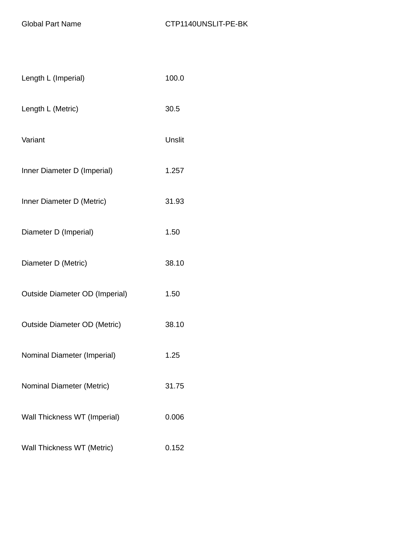| Length L (Imperial)            | 100.0  |
|--------------------------------|--------|
| Length L (Metric)              | 30.5   |
| Variant                        | Unslit |
| Inner Diameter D (Imperial)    | 1.257  |
| Inner Diameter D (Metric)      | 31.93  |
| Diameter D (Imperial)          | 1.50   |
| Diameter D (Metric)            | 38.10  |
| Outside Diameter OD (Imperial) | 1.50   |
| Outside Diameter OD (Metric)   | 38.10  |
| Nominal Diameter (Imperial)    | 1.25   |
| Nominal Diameter (Metric)      | 31.75  |
| Wall Thickness WT (Imperial)   | 0.006  |
| Wall Thickness WT (Metric)     | 0.152  |